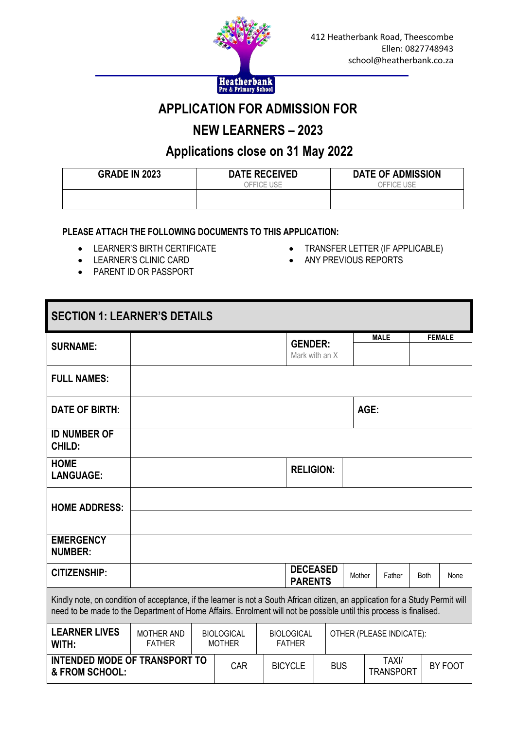

## **APPLICATION FOR ADMISSION FOR**

# **NEW LEARNERS – 2023**

## **Applications close on 31 May 2022**

| <b>GRADE IN 2023</b> | <b>DATE RECEIVED</b> | <b>DATE OF ADMISSION</b> |
|----------------------|----------------------|--------------------------|
|                      | OFFICE USE           | OFFICE USE               |
|                      |                      |                          |
|                      |                      |                          |

#### **PLEASE ATTACH THE FOLLOWING DOCUMENTS TO THIS APPLICATION:**

- LEARNER'S BIRTH CERTIFICATE
- **•** LEARNER'S CLINIC CARD
- PARENT ID OR PASSPORT
- TRANSFER LETTER (IF APPLICABLE)
- ANY PREVIOUS REPORTS

| <b>SECTION 1: LEARNER'S DETAILS</b>                                                                                                                                                                                                                  |                                    |  |                                    |  |                                    |                          |        |                           |  |               |         |
|------------------------------------------------------------------------------------------------------------------------------------------------------------------------------------------------------------------------------------------------------|------------------------------------|--|------------------------------------|--|------------------------------------|--------------------------|--------|---------------------------|--|---------------|---------|
| <b>SURNAME:</b>                                                                                                                                                                                                                                      |                                    |  |                                    |  | <b>GENDER:</b>                     | Mark with an X           |        | <b>MALE</b>               |  | <b>FEMALE</b> |         |
| <b>FULL NAMES:</b>                                                                                                                                                                                                                                   |                                    |  |                                    |  |                                    |                          |        |                           |  |               |         |
| <b>DATE OF BIRTH:</b>                                                                                                                                                                                                                                |                                    |  |                                    |  |                                    |                          |        | AGE:                      |  |               |         |
| <b>ID NUMBER OF</b><br><b>CHILD:</b>                                                                                                                                                                                                                 |                                    |  |                                    |  |                                    |                          |        |                           |  |               |         |
| <b>HOME</b><br><b>LANGUAGE:</b>                                                                                                                                                                                                                      |                                    |  |                                    |  | <b>RELIGION:</b>                   |                          |        |                           |  |               |         |
| <b>HOME ADDRESS:</b>                                                                                                                                                                                                                                 |                                    |  |                                    |  |                                    |                          |        |                           |  |               |         |
|                                                                                                                                                                                                                                                      |                                    |  |                                    |  |                                    |                          |        |                           |  |               |         |
| <b>EMERGENCY</b><br><b>NUMBER:</b>                                                                                                                                                                                                                   |                                    |  |                                    |  |                                    |                          |        |                           |  |               |         |
| <b>CITIZENSHIP:</b>                                                                                                                                                                                                                                  |                                    |  |                                    |  | <b>PARENTS</b>                     | <b>DECEASED</b>          | Mother | Father                    |  | <b>Both</b>   | None    |
| Kindly note, on condition of acceptance, if the learner is not a South African citizen, an application for a Study Permit will<br>need to be made to the Department of Home Affairs. Enrolment will not be possible until this process is finalised. |                                    |  |                                    |  |                                    |                          |        |                           |  |               |         |
| <b>LEARNER LIVES</b><br>WITH:                                                                                                                                                                                                                        | <b>MOTHER AND</b><br><b>FATHER</b> |  | <b>BIOLOGICAL</b><br><b>MOTHER</b> |  | <b>BIOLOGICAL</b><br><b>FATHER</b> | OTHER (PLEASE INDICATE): |        |                           |  |               |         |
| <b>INTENDED MODE OF TRANSPORT TO</b><br>& FROM SCHOOL:                                                                                                                                                                                               |                                    |  | <b>CAR</b>                         |  | <b>BICYCLE</b>                     | <b>BUS</b>               |        | TAXI/<br><b>TRANSPORT</b> |  |               | BY FOOT |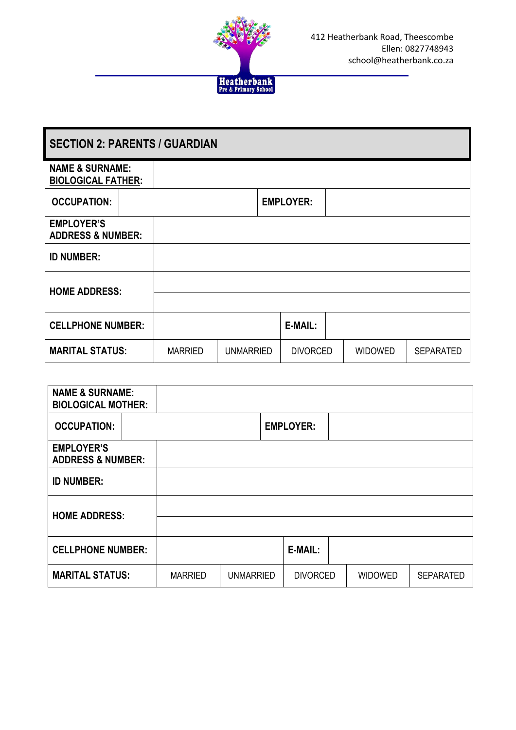

| <b>SECTION 2: PARENTS / GUARDIAN</b>                    |  |                |                  |                  |  |                |                  |
|---------------------------------------------------------|--|----------------|------------------|------------------|--|----------------|------------------|
| <b>NAME &amp; SURNAME:</b><br><b>BIOLOGICAL FATHER:</b> |  |                |                  |                  |  |                |                  |
| <b>OCCUPATION:</b>                                      |  |                |                  | <b>EMPLOYER:</b> |  |                |                  |
| <b>EMPLOYER'S</b><br><b>ADDRESS &amp; NUMBER:</b>       |  |                |                  |                  |  |                |                  |
| <b>ID NUMBER:</b>                                       |  |                |                  |                  |  |                |                  |
| <b>HOME ADDRESS:</b>                                    |  |                |                  |                  |  |                |                  |
| <b>CELLPHONE NUMBER:</b>                                |  |                |                  | E-MAIL:          |  |                |                  |
| <b>MARITAL STATUS:</b>                                  |  | <b>MARRIED</b> | <b>UNMARRIED</b> | <b>DIVORCED</b>  |  | <b>WIDOWED</b> | <b>SEPARATED</b> |

| <b>NAME &amp; SURNAME:</b><br><b>BIOLOGICAL MOTHER:</b> |                |                  |                  |                |                  |
|---------------------------------------------------------|----------------|------------------|------------------|----------------|------------------|
| <b>OCCUPATION:</b>                                      |                |                  | <b>EMPLOYER:</b> |                |                  |
| <b>EMPLOYER'S</b><br><b>ADDRESS &amp; NUMBER:</b>       |                |                  |                  |                |                  |
| <b>ID NUMBER:</b>                                       |                |                  |                  |                |                  |
| <b>HOME ADDRESS:</b>                                    |                |                  |                  |                |                  |
| <b>CELLPHONE NUMBER:</b>                                |                |                  | E-MAIL:          |                |                  |
| <b>MARITAL STATUS:</b>                                  | <b>MARRIED</b> | <b>UNMARRIED</b> | <b>DIVORCED</b>  | <b>WIDOWED</b> | <b>SEPARATED</b> |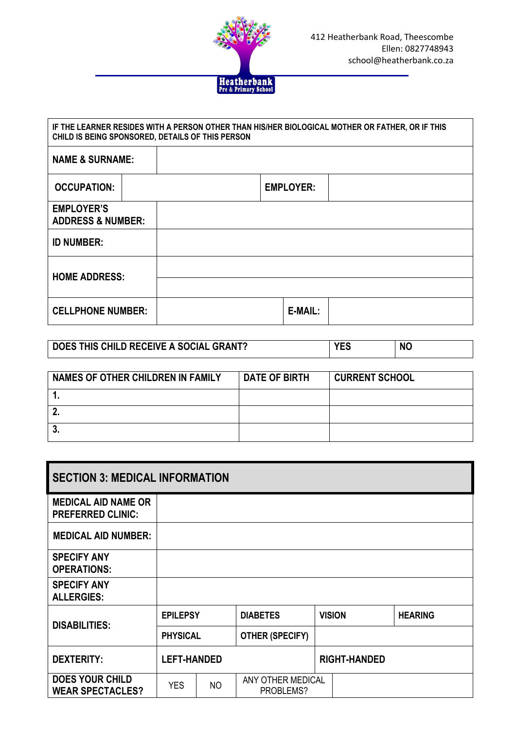

| IF THE LEARNER RESIDES WITH A PERSON OTHER THAN HIS/HER BIOLOGICAL MOTHER OR FATHER, OR IF THIS<br>CHILD IS BEING SPONSORED, DETAILS OF THIS PERSON |  |                  |  |  |  |  |
|-----------------------------------------------------------------------------------------------------------------------------------------------------|--|------------------|--|--|--|--|
| <b>NAME &amp; SURNAME:</b>                                                                                                                          |  |                  |  |  |  |  |
| <b>OCCUPATION:</b>                                                                                                                                  |  | <b>EMPLOYER:</b> |  |  |  |  |
| <b>EMPLOYER'S</b><br><b>ADDRESS &amp; NUMBER:</b>                                                                                                   |  |                  |  |  |  |  |
| <b>ID NUMBER:</b>                                                                                                                                   |  |                  |  |  |  |  |
| <b>HOME ADDRESS:</b>                                                                                                                                |  |                  |  |  |  |  |
| <b>CELLPHONE NUMBER:</b>                                                                                                                            |  | E-MAIL:          |  |  |  |  |

| DOES THIS CHILD RECEIVE A SOCIAL GRANT? | vrc | <b>NC</b> |
|-----------------------------------------|-----|-----------|
|-----------------------------------------|-----|-----------|

| NAMES OF OTHER CHILDREN IN FAMILY | <b>DATE OF BIRTH</b> | <b>CURRENT SCHOOL</b> |
|-----------------------------------|----------------------|-----------------------|
|                                   |                      |                       |
|                                   |                      |                       |
| . ა.                              |                      |                       |

| <b>SECTION 3: MEDICAL INFORMATION</b>                  |                    |     |                                |  |                     |                |
|--------------------------------------------------------|--------------------|-----|--------------------------------|--|---------------------|----------------|
| <b>MEDICAL AID NAME OR</b><br><b>PREFERRED CLINIC:</b> |                    |     |                                |  |                     |                |
| <b>MEDICAL AID NUMBER:</b>                             |                    |     |                                |  |                     |                |
| <b>SPECIFY ANY</b><br><b>OPERATIONS:</b>               |                    |     |                                |  |                     |                |
| <b>SPECIFY ANY</b><br><b>ALLERGIES:</b>                |                    |     |                                |  |                     |                |
| <b>DISABILITIES:</b>                                   | <b>EPILEPSY</b>    |     | <b>DIABETES</b>                |  | <b>VISION</b>       | <b>HEARING</b> |
|                                                        | <b>PHYSICAL</b>    |     | <b>OTHER (SPECIFY)</b>         |  |                     |                |
| <b>DEXTERITY:</b>                                      | <b>LEFT-HANDED</b> |     |                                |  | <b>RIGHT-HANDED</b> |                |
| <b>DOES YOUR CHILD</b><br><b>WEAR SPECTACLES?</b>      | <b>YES</b>         | NO. | ANY OTHER MEDICAL<br>PROBLEMS? |  |                     |                |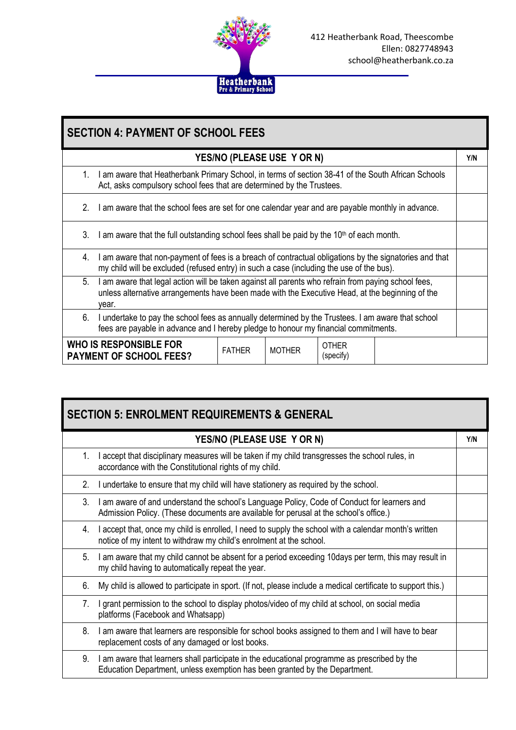

| <b>SECTION 4: PAYMENT OF SCHOOL FEES</b>                                                                                                                                                       |                                                                                                                                                                                                                 |               |                            |                           |     |  |  |
|------------------------------------------------------------------------------------------------------------------------------------------------------------------------------------------------|-----------------------------------------------------------------------------------------------------------------------------------------------------------------------------------------------------------------|---------------|----------------------------|---------------------------|-----|--|--|
|                                                                                                                                                                                                |                                                                                                                                                                                                                 |               | YES/NO (PLEASE USE Y OR N) |                           | Y/N |  |  |
| $1_{-}$                                                                                                                                                                                        | I am aware that Heatherbank Primary School, in terms of section 38-41 of the South African Schools<br>Act, asks compulsory school fees that are determined by the Trustees.                                     |               |                            |                           |     |  |  |
| 2.                                                                                                                                                                                             | I am aware that the school fees are set for one calendar year and are payable monthly in advance.                                                                                                               |               |                            |                           |     |  |  |
| 3.                                                                                                                                                                                             | I am aware that the full outstanding school fees shall be paid by the $10th$ of each month.                                                                                                                     |               |                            |                           |     |  |  |
| 4.                                                                                                                                                                                             | I am aware that non-payment of fees is a breach of contractual obligations by the signatories and that<br>my child will be excluded (refused entry) in such a case (including the use of the bus).              |               |                            |                           |     |  |  |
| 5.                                                                                                                                                                                             | I am aware that legal action will be taken against all parents who refrain from paying school fees,<br>unless alternative arrangements have been made with the Executive Head, at the beginning of the<br>vear. |               |                            |                           |     |  |  |
| I undertake to pay the school fees as annually determined by the Trustees. I am aware that school<br>6.<br>fees are payable in advance and I hereby pledge to honour my financial commitments. |                                                                                                                                                                                                                 |               |                            |                           |     |  |  |
|                                                                                                                                                                                                | WHO IS RESPONSIBLE FOR<br><b>PAYMENT OF SCHOOL FEES?</b>                                                                                                                                                        | <b>FATHER</b> | <b>MOTHER</b>              | <b>OTHER</b><br>(specify) |     |  |  |

| <b>SECTION 5: ENROLMENT REQUIREMENTS &amp; GENERAL</b> |                                                                                                                                                                                      |     |  |  |  |  |
|--------------------------------------------------------|--------------------------------------------------------------------------------------------------------------------------------------------------------------------------------------|-----|--|--|--|--|
|                                                        | YES/NO (PLEASE USE Y OR N)                                                                                                                                                           | Y/N |  |  |  |  |
| 1.                                                     | I accept that disciplinary measures will be taken if my child transgresses the school rules, in<br>accordance with the Constitutional rights of my child.                            |     |  |  |  |  |
| $2_{1}$                                                | I undertake to ensure that my child will have stationery as required by the school.                                                                                                  |     |  |  |  |  |
| 3.                                                     | I am aware of and understand the school's Language Policy, Code of Conduct for learners and<br>Admission Policy. (These documents are available for perusal at the school's office.) |     |  |  |  |  |
| 4.                                                     | I accept that, once my child is enrolled, I need to supply the school with a calendar month's written<br>notice of my intent to withdraw my child's enrolment at the school.         |     |  |  |  |  |
| 5.                                                     | I am aware that my child cannot be absent for a period exceeding 10days per term, this may result in<br>my child having to automatically repeat the year.                            |     |  |  |  |  |
| 6.                                                     | My child is allowed to participate in sport. (If not, please include a medical certificate to support this.)                                                                         |     |  |  |  |  |
| 7.                                                     | I grant permission to the school to display photos/video of my child at school, on social media<br>platforms (Facebook and Whatsapp)                                                 |     |  |  |  |  |
| 8.                                                     | I am aware that learners are responsible for school books assigned to them and I will have to bear<br>replacement costs of any damaged or lost books.                                |     |  |  |  |  |
| 9.                                                     | I am aware that learners shall participate in the educational programme as prescribed by the<br>Education Department, unless exemption has been granted by the Department.           |     |  |  |  |  |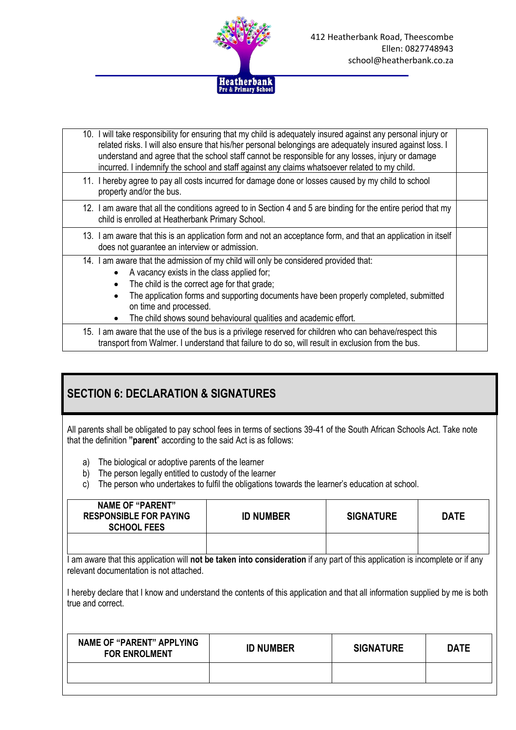

| 10. I will take responsibility for ensuring that my child is adequately insured against any personal injury or<br>related risks. I will also ensure that his/her personal belongings are adequately insured against loss. I<br>understand and agree that the school staff cannot be responsible for any losses, injury or damage<br>incurred. I indemnify the school and staff against any claims whatsoever related to my child. |  |
|-----------------------------------------------------------------------------------------------------------------------------------------------------------------------------------------------------------------------------------------------------------------------------------------------------------------------------------------------------------------------------------------------------------------------------------|--|
| 11. I hereby agree to pay all costs incurred for damage done or losses caused by my child to school<br>property and/or the bus.                                                                                                                                                                                                                                                                                                   |  |
| 12. I am aware that all the conditions agreed to in Section 4 and 5 are binding for the entire period that my<br>child is enrolled at Heatherbank Primary School.                                                                                                                                                                                                                                                                 |  |
| 13. I am aware that this is an application form and not an acceptance form, and that an application in itself<br>does not guarantee an interview or admission.                                                                                                                                                                                                                                                                    |  |
| 14. I am aware that the admission of my child will only be considered provided that:<br>A vacancy exists in the class applied for;<br>The child is the correct age for that grade;<br>The application forms and supporting documents have been properly completed, submitted<br>٠<br>on time and processed.<br>The child shows sound behavioural qualities and academic effort.<br>$\bullet$                                      |  |
| 15. I am aware that the use of the bus is a privilege reserved for children who can behave/respect this<br>transport from Walmer. I understand that failure to do so, will result in exclusion from the bus.                                                                                                                                                                                                                      |  |

#### **SECTION 6: DECLARATION & SIGNATURES**

All parents shall be obligated to pay school fees in terms of sections 39-41 of the South African Schools Act. Take note that the definition **"parent**" according to the said Act is as follows:

- a) The biological or adoptive parents of the learner
- b) The person legally entitled to custody of the learner
- c) The person who undertakes to fulfil the obligations towards the learner's education at school.

| <b>NAME OF "PARENT"</b><br><b>RESPONSIBLE FOR PAYING</b><br><b>SCHOOL FEES</b>                                                                                                  | <b>ID NUMBER</b> | <b>SIGNATURE</b> | <b>DATE</b> |  |  |  |  |  |
|---------------------------------------------------------------------------------------------------------------------------------------------------------------------------------|------------------|------------------|-------------|--|--|--|--|--|
|                                                                                                                                                                                 |                  |                  |             |  |  |  |  |  |
| I am aware that this application will <b>not be taken into consideration</b> if any part of this application is incomplete or if any<br>relevant documentation is not attached. |                  |                  |             |  |  |  |  |  |
| I hereby declare that I know and understand the contents of this application and that all information supplied by me is both<br>true and correct.                               |                  |                  |             |  |  |  |  |  |
| <b>NAME OF "PARENT" APPLYING</b><br><b>FOR ENROLMENT</b>                                                                                                                        | <b>ID NUMBER</b> | <b>SIGNATURE</b> | <b>DATE</b> |  |  |  |  |  |
|                                                                                                                                                                                 |                  |                  |             |  |  |  |  |  |